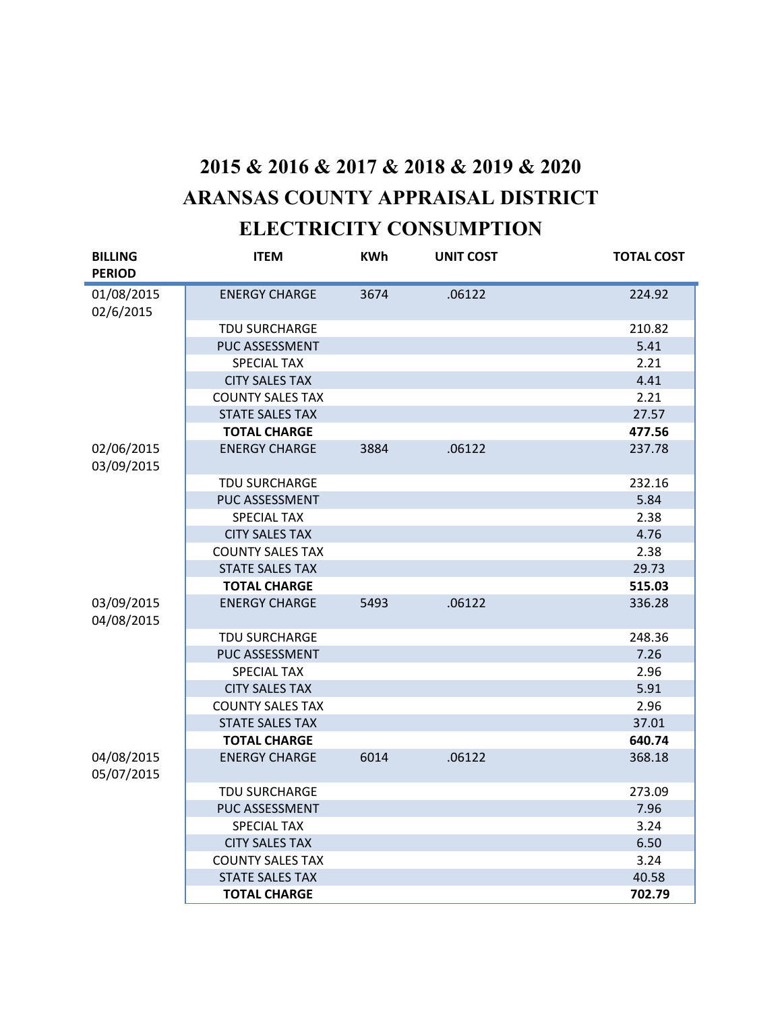## **2015 & 2016 & 2017 & 2018 & 2019 & 2020 ARANSAS COUNTY APPRAISAL DISTRICT ELECTRICITY CONSUMPTION**

| <b>BILLING</b><br><b>PERIOD</b> | <b>ITEM</b>             | <b>KWh</b> | <b>UNIT COST</b> | <b>TOTAL COST</b> |
|---------------------------------|-------------------------|------------|------------------|-------------------|
| 01/08/2015                      | <b>ENERGY CHARGE</b>    | 3674       | .06122           | 224.92            |
| 02/6/2015                       |                         |            |                  |                   |
|                                 | <b>TDU SURCHARGE</b>    |            |                  | 210.82            |
|                                 | PUC ASSESSMENT          |            |                  | 5.41              |
|                                 | <b>SPECIAL TAX</b>      |            |                  | 2.21              |
|                                 | <b>CITY SALES TAX</b>   |            |                  | 4.41              |
|                                 | <b>COUNTY SALES TAX</b> |            |                  | 2.21              |
|                                 | <b>STATE SALES TAX</b>  |            |                  | 27.57             |
|                                 | <b>TOTAL CHARGE</b>     |            |                  | 477.56            |
| 02/06/2015<br>03/09/2015        | <b>ENERGY CHARGE</b>    | 3884       | .06122           | 237.78            |
|                                 | TDU SURCHARGE           |            |                  | 232.16            |
|                                 | PUC ASSESSMENT          |            |                  | 5.84              |
|                                 | <b>SPECIAL TAX</b>      |            |                  | 2.38              |
|                                 | <b>CITY SALES TAX</b>   |            |                  | 4.76              |
|                                 | <b>COUNTY SALES TAX</b> |            |                  | 2.38              |
|                                 | <b>STATE SALES TAX</b>  |            |                  | 29.73             |
|                                 | <b>TOTAL CHARGE</b>     |            |                  | 515.03            |
| 03/09/2015<br>04/08/2015        | <b>ENERGY CHARGE</b>    | 5493       | .06122           | 336.28            |
|                                 | <b>TDU SURCHARGE</b>    |            |                  | 248.36            |
|                                 | PUC ASSESSMENT          |            |                  | 7.26              |
|                                 | <b>SPECIAL TAX</b>      |            |                  | 2.96              |
|                                 | <b>CITY SALES TAX</b>   |            |                  | 5.91              |
|                                 | <b>COUNTY SALES TAX</b> |            |                  | 2.96              |
|                                 | <b>STATE SALES TAX</b>  |            |                  | 37.01             |
|                                 | <b>TOTAL CHARGE</b>     |            |                  | 640.74            |
| 04/08/2015<br>05/07/2015        | <b>ENERGY CHARGE</b>    | 6014       | .06122           | 368.18            |
|                                 | TDU SURCHARGE           |            |                  | 273.09            |
|                                 | PUC ASSESSMENT          |            |                  | 7.96              |
|                                 | <b>SPECIAL TAX</b>      |            |                  | 3.24              |
|                                 | <b>CITY SALES TAX</b>   |            |                  | 6.50              |
|                                 | <b>COUNTY SALES TAX</b> |            |                  | 3.24              |
|                                 | <b>STATE SALES TAX</b>  |            |                  | 40.58             |
|                                 | <b>TOTAL CHARGE</b>     |            |                  | 702.79            |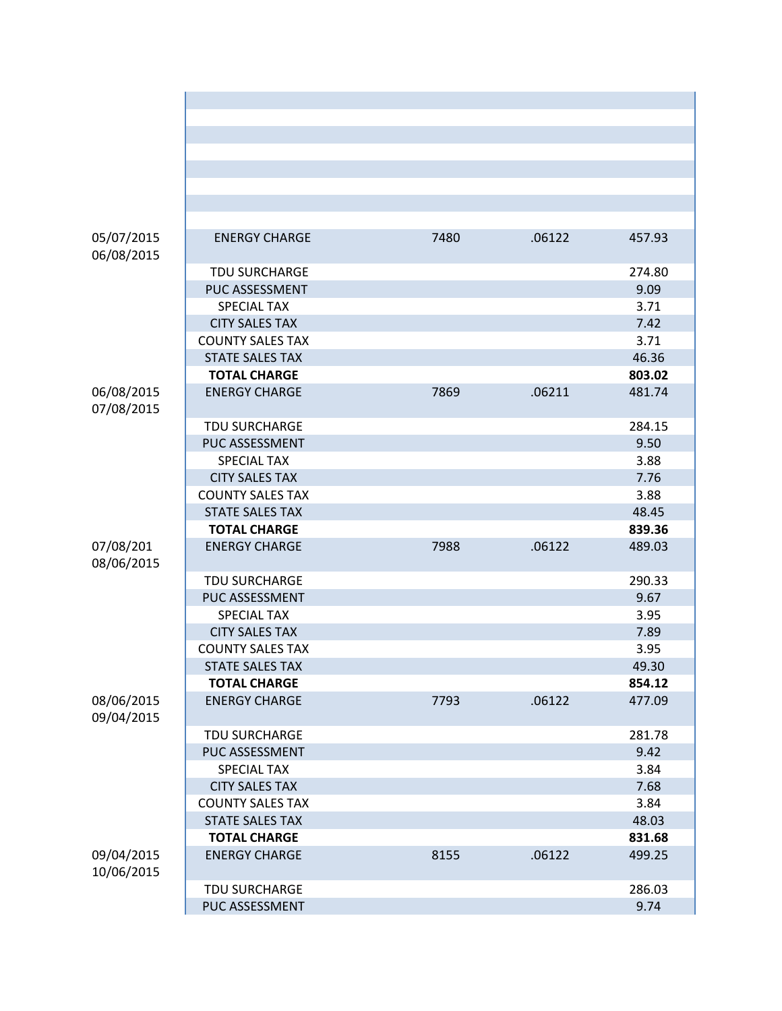| 05/07/2015<br>06/08/2015 | <b>ENERGY CHARGE</b>    | 7480 | .06122 | 457.93 |
|--------------------------|-------------------------|------|--------|--------|
|                          | <b>TDU SURCHARGE</b>    |      |        | 274.80 |
|                          | PUC ASSESSMENT          |      |        | 9.09   |
|                          | <b>SPECIAL TAX</b>      |      |        | 3.71   |
|                          | <b>CITY SALES TAX</b>   |      |        | 7.42   |
|                          | <b>COUNTY SALES TAX</b> |      |        | 3.71   |
|                          | <b>STATE SALES TAX</b>  |      |        | 46.36  |
|                          | <b>TOTAL CHARGE</b>     |      |        | 803.02 |
| 06/08/2015<br>07/08/2015 | <b>ENERGY CHARGE</b>    | 7869 | .06211 | 481.74 |
|                          | TDU SURCHARGE           |      |        | 284.15 |
|                          | PUC ASSESSMENT          |      |        | 9.50   |
|                          | <b>SPECIAL TAX</b>      |      |        | 3.88   |
|                          | <b>CITY SALES TAX</b>   |      |        | 7.76   |
|                          | <b>COUNTY SALES TAX</b> |      |        | 3.88   |
|                          | <b>STATE SALES TAX</b>  |      |        | 48.45  |
|                          | <b>TOTAL CHARGE</b>     |      |        | 839.36 |
| 07/08/201<br>08/06/2015  | <b>ENERGY CHARGE</b>    | 7988 | .06122 | 489.03 |
|                          | TDU SURCHARGE           |      |        | 290.33 |
|                          | PUC ASSESSMENT          |      |        | 9.67   |
|                          | <b>SPECIAL TAX</b>      |      |        | 3.95   |
|                          | <b>CITY SALES TAX</b>   |      |        | 7.89   |
|                          | <b>COUNTY SALES TAX</b> |      |        | 3.95   |
|                          | <b>STATE SALES TAX</b>  |      |        | 49.30  |
|                          | <b>TOTAL CHARGE</b>     |      |        | 854.12 |
| 08/06/2015<br>09/04/2015 | <b>ENERGY CHARGE</b>    | 7793 | .06122 | 477.09 |
|                          | <b>TDU SURCHARGE</b>    |      |        | 281.78 |
|                          | PUC ASSESSMENT          |      |        | 9.42   |
|                          | <b>SPECIAL TAX</b>      |      |        | 3.84   |
|                          | <b>CITY SALES TAX</b>   |      |        | 7.68   |
|                          | <b>COUNTY SALES TAX</b> |      |        | 3.84   |
|                          | <b>STATE SALES TAX</b>  |      |        | 48.03  |
|                          | <b>TOTAL CHARGE</b>     |      |        | 831.68 |
| 09/04/2015<br>10/06/2015 | <b>ENERGY CHARGE</b>    | 8155 | .06122 | 499.25 |
|                          | TDU SURCHARGE           |      |        | 286.03 |
|                          | PUC ASSESSMENT          |      |        | 9.74   |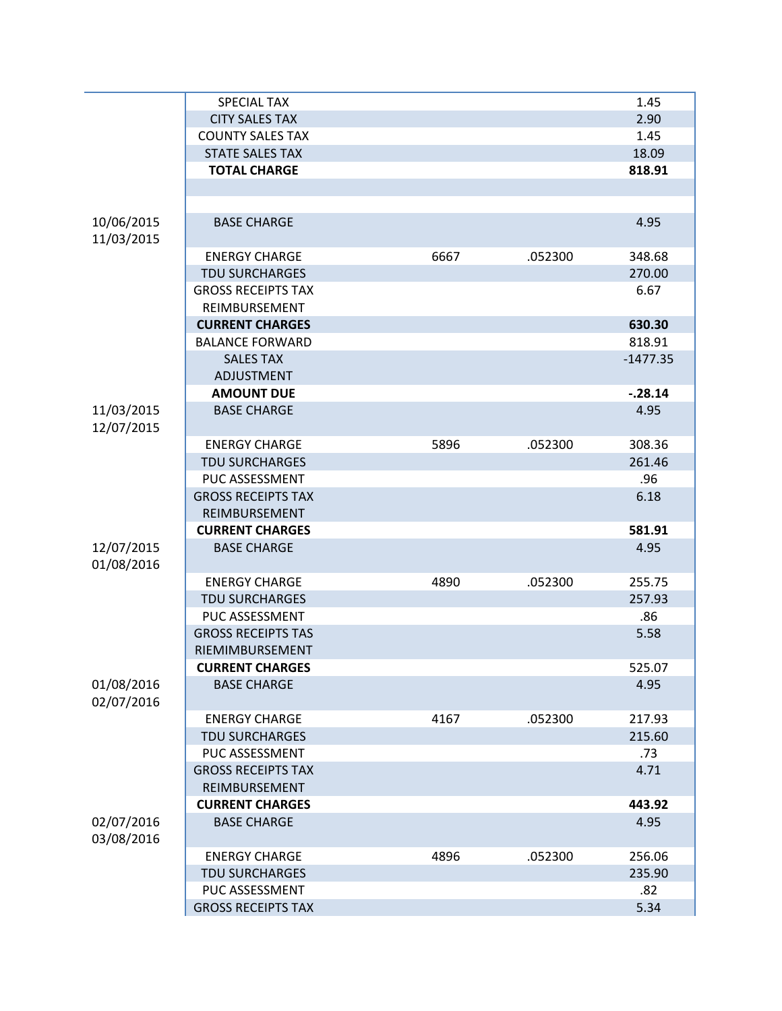|            | <b>SPECIAL TAX</b>        |      |         | 1.45       |
|------------|---------------------------|------|---------|------------|
|            | <b>CITY SALES TAX</b>     |      |         | 2.90       |
|            | <b>COUNTY SALES TAX</b>   |      |         | 1.45       |
|            | <b>STATE SALES TAX</b>    |      |         | 18.09      |
|            | <b>TOTAL CHARGE</b>       |      |         | 818.91     |
|            |                           |      |         |            |
|            |                           |      |         |            |
| 10/06/2015 | <b>BASE CHARGE</b>        |      |         | 4.95       |
| 11/03/2015 |                           |      |         |            |
|            | <b>ENERGY CHARGE</b>      | 6667 | .052300 | 348.68     |
|            | <b>TDU SURCHARGES</b>     |      |         | 270.00     |
|            | <b>GROSS RECEIPTS TAX</b> |      |         | 6.67       |
|            | REIMBURSEMENT             |      |         |            |
|            | <b>CURRENT CHARGES</b>    |      |         | 630.30     |
|            | <b>BALANCE FORWARD</b>    |      |         | 818.91     |
|            | <b>SALES TAX</b>          |      |         | $-1477.35$ |
|            | ADJUSTMENT                |      |         |            |
|            | <b>AMOUNT DUE</b>         |      |         | $-.28.14$  |
| 11/03/2015 | <b>BASE CHARGE</b>        |      |         | 4.95       |
| 12/07/2015 |                           |      |         |            |
|            | <b>ENERGY CHARGE</b>      | 5896 | .052300 | 308.36     |
|            | <b>TDU SURCHARGES</b>     |      |         | 261.46     |
|            | PUC ASSESSMENT            |      |         | .96        |
|            | <b>GROSS RECEIPTS TAX</b> |      |         | 6.18       |
|            | REIMBURSEMENT             |      |         |            |
|            | <b>CURRENT CHARGES</b>    |      |         | 581.91     |
| 12/07/2015 | <b>BASE CHARGE</b>        |      |         | 4.95       |
| 01/08/2016 |                           |      |         |            |
|            | <b>ENERGY CHARGE</b>      | 4890 | .052300 | 255.75     |
|            | <b>TDU SURCHARGES</b>     |      |         | 257.93     |
|            | PUC ASSESSMENT            |      |         | .86        |
|            | <b>GROSS RECEIPTS TAS</b> |      |         | 5.58       |
|            | RIEMIMBURSEMENT           |      |         |            |
|            | <b>CURRENT CHARGES</b>    |      |         | 525.07     |
| 01/08/2016 | <b>BASE CHARGE</b>        |      |         | 4.95       |
| 02/07/2016 |                           |      |         |            |
|            | <b>ENERGY CHARGE</b>      | 4167 | .052300 | 217.93     |
|            | <b>TDU SURCHARGES</b>     |      |         | 215.60     |
|            | PUC ASSESSMENT            |      |         | .73        |
|            | <b>GROSS RECEIPTS TAX</b> |      |         | 4.71       |
|            | REIMBURSEMENT             |      |         |            |
|            | <b>CURRENT CHARGES</b>    |      |         | 443.92     |
| 02/07/2016 | <b>BASE CHARGE</b>        |      |         | 4.95       |
| 03/08/2016 |                           |      |         |            |
|            | <b>ENERGY CHARGE</b>      | 4896 | .052300 | 256.06     |
|            | <b>TDU SURCHARGES</b>     |      |         | 235.90     |
|            | PUC ASSESSMENT            |      |         |            |
|            |                           |      |         | .82        |
|            | <b>GROSS RECEIPTS TAX</b> |      |         | 5.34       |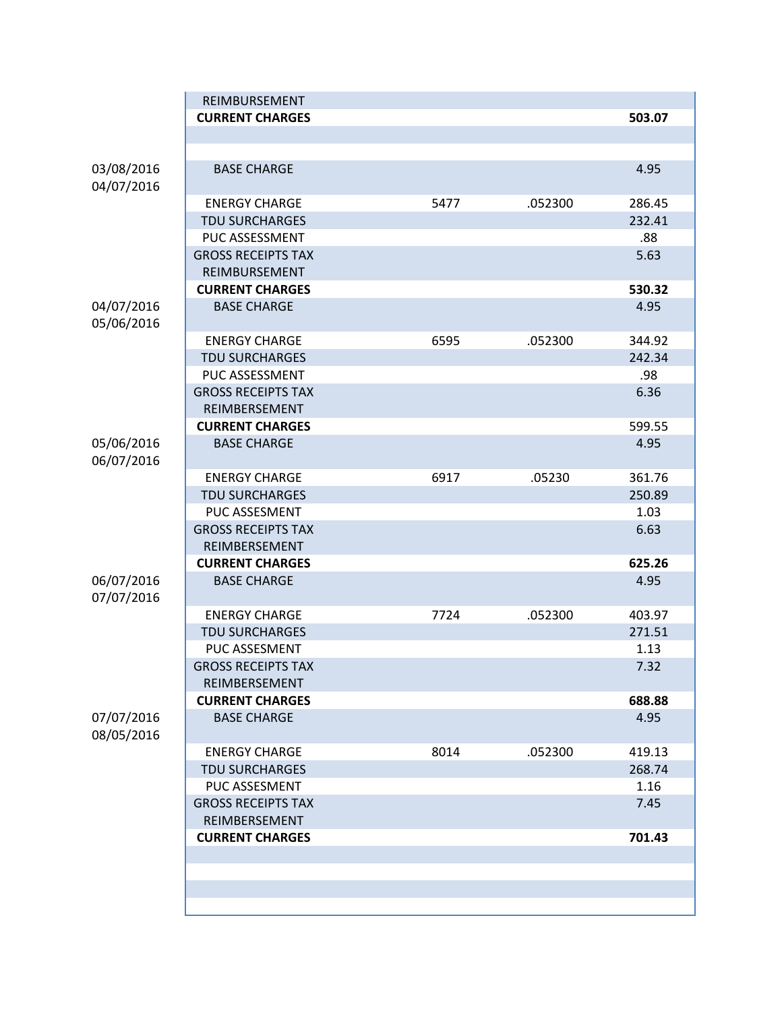|                          | REIMBURSEMENT                              |      |         |        |
|--------------------------|--------------------------------------------|------|---------|--------|
|                          | <b>CURRENT CHARGES</b>                     |      |         | 503.07 |
|                          |                                            |      |         |        |
|                          |                                            |      |         |        |
| 03/08/2016<br>04/07/2016 | <b>BASE CHARGE</b>                         |      |         | 4.95   |
|                          | <b>ENERGY CHARGE</b>                       | 5477 | .052300 | 286.45 |
|                          | <b>TDU SURCHARGES</b>                      |      |         | 232.41 |
|                          | PUC ASSESSMENT                             |      |         | .88    |
|                          | <b>GROSS RECEIPTS TAX</b>                  |      |         | 5.63   |
|                          | REIMBURSEMENT                              |      |         |        |
|                          | <b>CURRENT CHARGES</b>                     |      |         | 530.32 |
| 04/07/2016<br>05/06/2016 | <b>BASE CHARGE</b>                         |      |         | 4.95   |
|                          | <b>ENERGY CHARGE</b>                       | 6595 | .052300 | 344.92 |
|                          | <b>TDU SURCHARGES</b>                      |      |         | 242.34 |
|                          | PUC ASSESSMENT                             |      |         | .98    |
|                          | <b>GROSS RECEIPTS TAX</b><br>REIMBERSEMENT |      |         | 6.36   |
|                          | <b>CURRENT CHARGES</b>                     |      |         | 599.55 |
| 05/06/2016<br>06/07/2016 | <b>BASE CHARGE</b>                         |      |         | 4.95   |
|                          | <b>ENERGY CHARGE</b>                       | 6917 | .05230  | 361.76 |
|                          | <b>TDU SURCHARGES</b>                      |      |         | 250.89 |
|                          | PUC ASSESMENT                              |      |         | 1.03   |
|                          | <b>GROSS RECEIPTS TAX</b>                  |      |         | 6.63   |
|                          | REIMBERSEMENT                              |      |         |        |
|                          | <b>CURRENT CHARGES</b>                     |      |         | 625.26 |
| 06/07/2016<br>07/07/2016 | <b>BASE CHARGE</b>                         |      |         | 4.95   |
|                          | <b>ENERGY CHARGE</b>                       | 7724 | .052300 | 403.97 |
|                          | <b>TDU SURCHARGES</b>                      |      |         | 271.51 |
|                          | PUC ASSESMENT                              |      |         | 1.13   |
|                          | <b>GROSS RECEIPTS TAX</b><br>REIMBERSEMENT |      |         | 7.32   |
|                          | <b>CURRENT CHARGES</b>                     |      |         | 688.88 |
| 07/07/2016               | <b>BASE CHARGE</b>                         |      |         | 4.95   |
| 08/05/2016               |                                            |      |         |        |
|                          | <b>ENERGY CHARGE</b>                       | 8014 | .052300 | 419.13 |
|                          | <b>TDU SURCHARGES</b>                      |      |         | 268.74 |
|                          | PUC ASSESMENT                              |      |         | 1.16   |
|                          | <b>GROSS RECEIPTS TAX</b>                  |      |         | 7.45   |
|                          | REIMBERSEMENT                              |      |         |        |
|                          | <b>CURRENT CHARGES</b>                     |      |         | 701.43 |
|                          |                                            |      |         |        |
|                          |                                            |      |         |        |
|                          |                                            |      |         |        |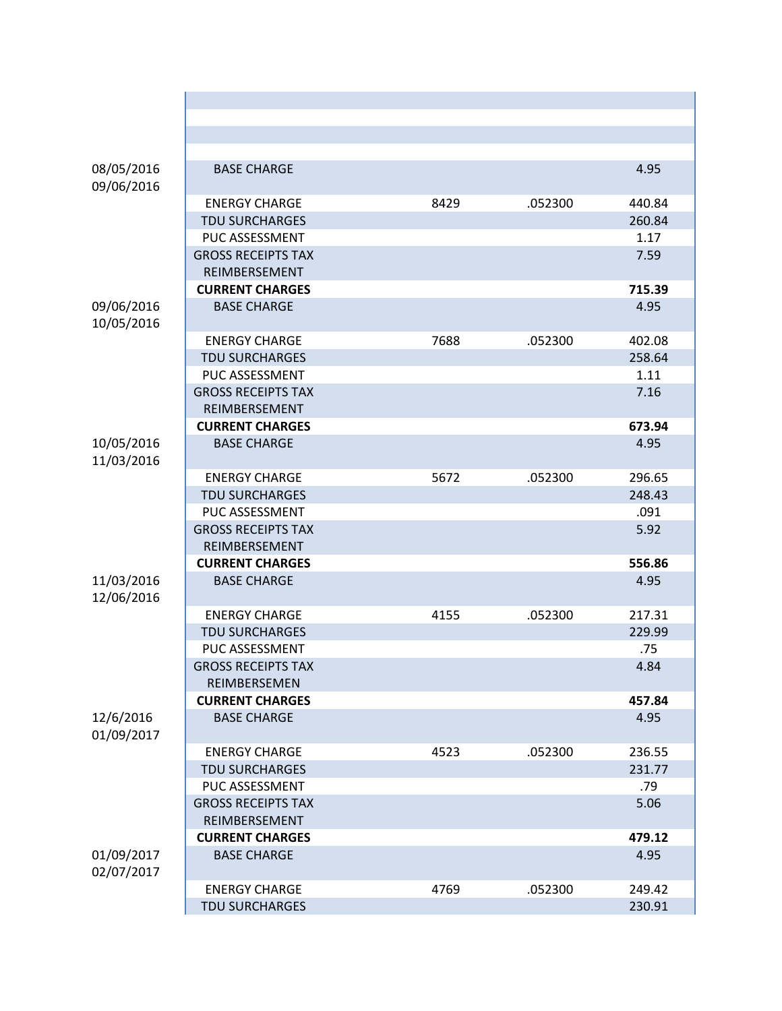| 08/05/2016<br>09/06/2016 | <b>BASE CHARGE</b>                        |      |         | 4.95   |
|--------------------------|-------------------------------------------|------|---------|--------|
|                          | <b>ENERGY CHARGE</b>                      | 8429 | .052300 | 440.84 |
|                          | <b>TDU SURCHARGES</b>                     |      |         | 260.84 |
|                          | PUC ASSESSMENT                            |      |         | 1.17   |
|                          | <b>GROSS RECEIPTS TAX</b>                 |      |         | 7.59   |
|                          | REIMBERSEMENT                             |      |         |        |
|                          | <b>CURRENT CHARGES</b>                    |      |         | 715.39 |
| 09/06/2016<br>10/05/2016 | <b>BASE CHARGE</b>                        |      |         | 4.95   |
|                          | <b>ENERGY CHARGE</b>                      | 7688 | .052300 | 402.08 |
|                          | <b>TDU SURCHARGES</b>                     |      |         | 258.64 |
|                          | PUC ASSESSMENT                            |      |         | 1.11   |
|                          | <b>GROSS RECEIPTS TAX</b>                 |      |         | 7.16   |
|                          | REIMBERSEMENT                             |      |         |        |
|                          | <b>CURRENT CHARGES</b>                    |      |         | 673.94 |
| 10/05/2016<br>11/03/2016 | <b>BASE CHARGE</b>                        |      |         | 4.95   |
|                          | <b>ENERGY CHARGE</b>                      | 5672 | .052300 | 296.65 |
|                          | <b>TDU SURCHARGES</b>                     |      |         | 248.43 |
|                          | PUC ASSESSMENT                            |      |         | .091   |
|                          | <b>GROSS RECEIPTS TAX</b>                 |      |         | 5.92   |
|                          | REIMBERSEMENT                             |      |         |        |
|                          | <b>CURRENT CHARGES</b>                    |      |         | 556.86 |
| 11/03/2016<br>12/06/2016 | <b>BASE CHARGE</b>                        |      |         | 4.95   |
|                          | <b>ENERGY CHARGE</b>                      | 4155 | .052300 | 217.31 |
|                          | <b>TDU SURCHARGES</b>                     |      |         | 229.99 |
|                          | PUC ASSESSMENT                            |      |         | .75    |
|                          | <b>GROSS RECEIPTS TAX</b><br>REIMBERSEMEN |      |         | 4.84   |
|                          | <b>CURRENT CHARGES</b>                    |      |         | 457.84 |
| 12/6/2016<br>01/09/2017  | <b>BASE CHARGE</b>                        |      |         | 4.95   |
|                          | <b>ENERGY CHARGE</b>                      | 4523 | .052300 | 236.55 |
|                          | <b>TDU SURCHARGES</b>                     |      |         | 231.77 |
|                          | PUC ASSESSMENT                            |      |         | .79    |
|                          | <b>GROSS RECEIPTS TAX</b>                 |      |         | 5.06   |
|                          | REIMBERSEMENT                             |      |         |        |
|                          | <b>CURRENT CHARGES</b>                    |      |         | 479.12 |
| 01/09/2017<br>02/07/2017 | <b>BASE CHARGE</b>                        |      |         | 4.95   |
|                          | <b>ENERGY CHARGE</b>                      | 4769 | .052300 | 249.42 |
|                          | <b>TDU SURCHARGES</b>                     |      |         | 230.91 |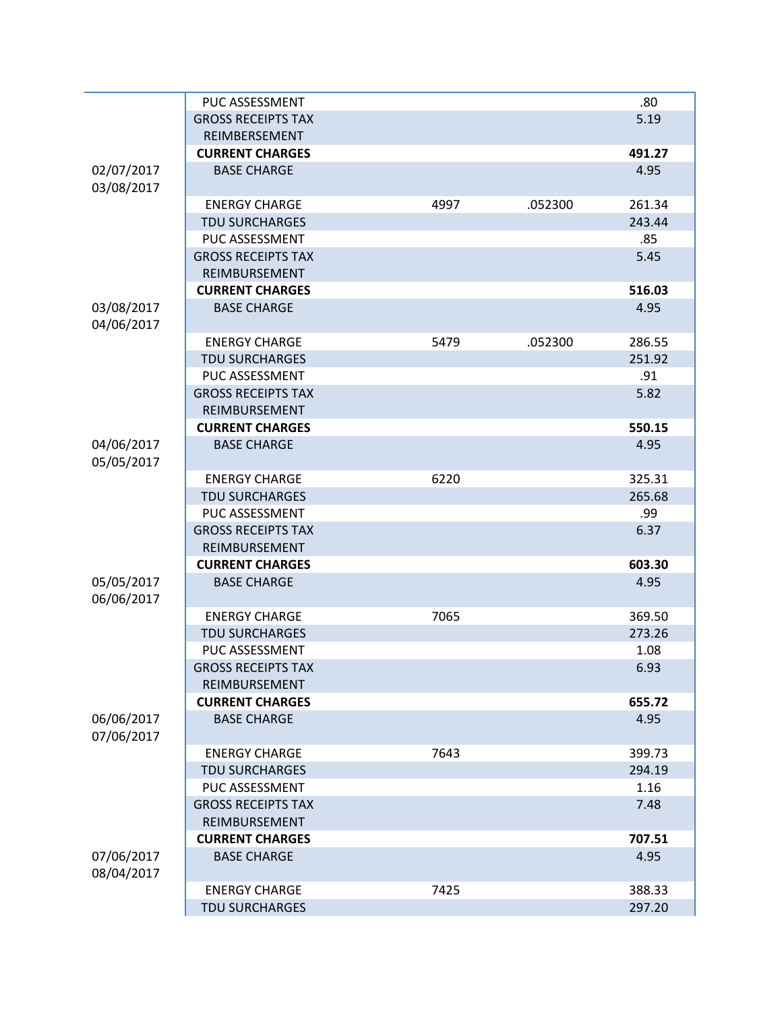|                          | PUC ASSESSMENT            |      |         | .80    |
|--------------------------|---------------------------|------|---------|--------|
|                          | <b>GROSS RECEIPTS TAX</b> |      |         | 5.19   |
|                          | REIMBERSEMENT             |      |         |        |
|                          | <b>CURRENT CHARGES</b>    |      |         | 491.27 |
| 02/07/2017               | <b>BASE CHARGE</b>        |      |         | 4.95   |
| 03/08/2017               |                           |      |         |        |
|                          | <b>ENERGY CHARGE</b>      | 4997 | .052300 | 261.34 |
|                          | <b>TDU SURCHARGES</b>     |      |         | 243.44 |
|                          | <b>PUC ASSESSMENT</b>     |      |         | .85    |
|                          | <b>GROSS RECEIPTS TAX</b> |      |         | 5.45   |
|                          | REIMBURSEMENT             |      |         |        |
|                          | <b>CURRENT CHARGES</b>    |      |         | 516.03 |
| 03/08/2017               | <b>BASE CHARGE</b>        |      |         | 4.95   |
| 04/06/2017               |                           |      |         |        |
|                          | <b>ENERGY CHARGE</b>      | 5479 | .052300 | 286.55 |
|                          | <b>TDU SURCHARGES</b>     |      |         | 251.92 |
|                          | PUC ASSESSMENT            |      |         | .91    |
|                          | <b>GROSS RECEIPTS TAX</b> |      |         | 5.82   |
|                          | REIMBURSEMENT             |      |         |        |
|                          | <b>CURRENT CHARGES</b>    |      |         | 550.15 |
| 04/06/2017<br>05/05/2017 | <b>BASE CHARGE</b>        |      |         | 4.95   |
|                          | <b>ENERGY CHARGE</b>      | 6220 |         | 325.31 |
|                          | <b>TDU SURCHARGES</b>     |      |         | 265.68 |
|                          | PUC ASSESSMENT            |      |         | .99    |
|                          | <b>GROSS RECEIPTS TAX</b> |      |         | 6.37   |
|                          | REIMBURSEMENT             |      |         |        |
|                          | <b>CURRENT CHARGES</b>    |      |         | 603.30 |
| 05/05/2017               | <b>BASE CHARGE</b>        |      |         | 4.95   |
| 06/06/2017               |                           |      |         |        |
|                          | <b>ENERGY CHARGE</b>      | 7065 |         | 369.50 |
|                          | <b>TDU SURCHARGES</b>     |      |         | 273.26 |
|                          | PUC ASSESSMENT            |      |         | 1.08   |
|                          | <b>GROSS RECEIPTS TAX</b> |      |         | 6.93   |
|                          | REIMBURSEMENT             |      |         |        |
|                          | <b>CURRENT CHARGES</b>    |      |         | 655.72 |
| 06/06/2017<br>07/06/2017 | <b>BASE CHARGE</b>        |      |         | 4.95   |
|                          | <b>ENERGY CHARGE</b>      | 7643 |         | 399.73 |
|                          | <b>TDU SURCHARGES</b>     |      |         | 294.19 |
|                          | PUC ASSESSMENT            |      |         | 1.16   |
|                          | <b>GROSS RECEIPTS TAX</b> |      |         | 7.48   |
|                          | REIMBURSEMENT             |      |         |        |
|                          | <b>CURRENT CHARGES</b>    |      |         | 707.51 |
| 07/06/2017               | <b>BASE CHARGE</b>        |      |         | 4.95   |
| 08/04/2017               |                           |      |         |        |
|                          | <b>ENERGY CHARGE</b>      | 7425 |         | 388.33 |
|                          | <b>TDU SURCHARGES</b>     |      |         | 297.20 |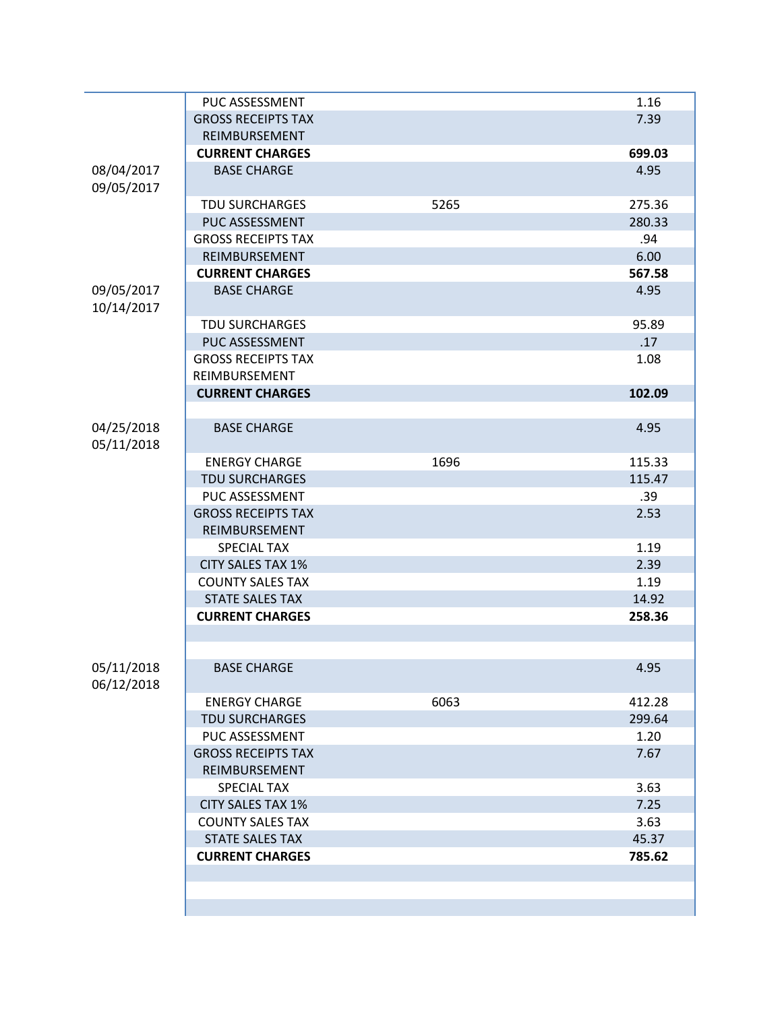|                          | PUC ASSESSMENT            |      | 1.16   |
|--------------------------|---------------------------|------|--------|
|                          | <b>GROSS RECEIPTS TAX</b> |      | 7.39   |
|                          | REIMBURSEMENT             |      |        |
|                          | <b>CURRENT CHARGES</b>    |      | 699.03 |
| 08/04/2017               | <b>BASE CHARGE</b>        |      | 4.95   |
| 09/05/2017               |                           |      |        |
|                          | <b>TDU SURCHARGES</b>     | 5265 | 275.36 |
|                          | PUC ASSESSMENT            |      | 280.33 |
|                          | <b>GROSS RECEIPTS TAX</b> |      | .94    |
|                          | REIMBURSEMENT             |      | 6.00   |
|                          | <b>CURRENT CHARGES</b>    |      | 567.58 |
| 09/05/2017<br>10/14/2017 | <b>BASE CHARGE</b>        |      | 4.95   |
|                          | <b>TDU SURCHARGES</b>     |      | 95.89  |
|                          | PUC ASSESSMENT            |      | .17    |
|                          | <b>GROSS RECEIPTS TAX</b> |      | 1.08   |
|                          | REIMBURSEMENT             |      |        |
|                          | <b>CURRENT CHARGES</b>    |      | 102.09 |
|                          |                           |      |        |
| 04/25/2018<br>05/11/2018 | <b>BASE CHARGE</b>        |      | 4.95   |
|                          | <b>ENERGY CHARGE</b>      | 1696 | 115.33 |
|                          | <b>TDU SURCHARGES</b>     |      | 115.47 |
|                          | PUC ASSESSMENT            |      | .39    |
|                          | <b>GROSS RECEIPTS TAX</b> |      | 2.53   |
|                          | REIMBURSEMENT             |      |        |
|                          | <b>SPECIAL TAX</b>        |      | 1.19   |
|                          | <b>CITY SALES TAX 1%</b>  |      | 2.39   |
|                          | <b>COUNTY SALES TAX</b>   |      | 1.19   |
|                          | <b>STATE SALES TAX</b>    |      | 14.92  |
|                          | <b>CURRENT CHARGES</b>    |      | 258.36 |
|                          |                           |      |        |
| 05/11/2018<br>06/12/2018 | <b>BASE CHARGE</b>        |      | 4.95   |
|                          | <b>ENERGY CHARGE</b>      | 6063 | 412.28 |
|                          | <b>TDU SURCHARGES</b>     |      | 299.64 |
|                          | PUC ASSESSMENT            |      | 1.20   |
|                          | <b>GROSS RECEIPTS TAX</b> |      | 7.67   |
|                          | REIMBURSEMENT             |      |        |
|                          | <b>SPECIAL TAX</b>        |      | 3.63   |
|                          | <b>CITY SALES TAX 1%</b>  |      | 7.25   |
|                          | <b>COUNTY SALES TAX</b>   |      | 3.63   |
|                          | <b>STATE SALES TAX</b>    |      | 45.37  |
|                          | <b>CURRENT CHARGES</b>    |      | 785.62 |
|                          |                           |      |        |
|                          |                           |      |        |
|                          |                           |      |        |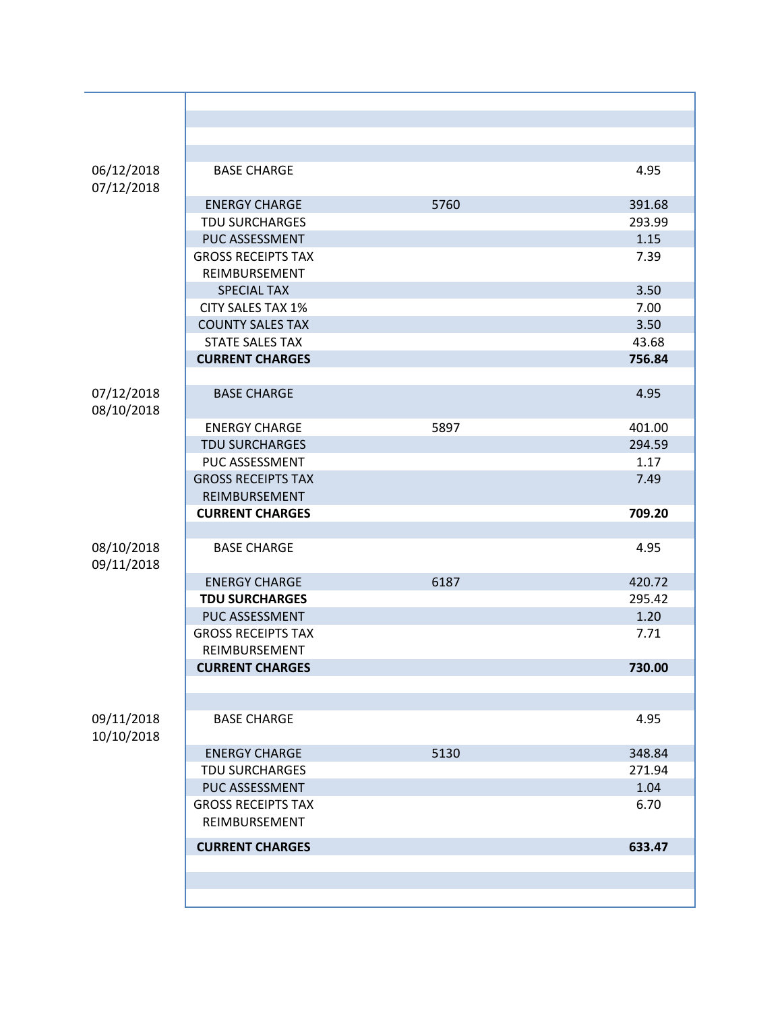| 06/12/2018<br>07/12/2018 | <b>BASE CHARGE</b>        |      | 4.95   |
|--------------------------|---------------------------|------|--------|
|                          | <b>ENERGY CHARGE</b>      | 5760 | 391.68 |
|                          | <b>TDU SURCHARGES</b>     |      | 293.99 |
|                          | PUC ASSESSMENT            |      | 1.15   |
|                          | <b>GROSS RECEIPTS TAX</b> |      | 7.39   |
|                          | REIMBURSEMENT             |      |        |
|                          | <b>SPECIAL TAX</b>        |      | 3.50   |
|                          | <b>CITY SALES TAX 1%</b>  |      | 7.00   |
|                          | <b>COUNTY SALES TAX</b>   |      | 3.50   |
|                          | <b>STATE SALES TAX</b>    |      | 43.68  |
|                          | <b>CURRENT CHARGES</b>    |      | 756.84 |
|                          |                           |      |        |
| 07/12/2018<br>08/10/2018 | <b>BASE CHARGE</b>        |      | 4.95   |
|                          | <b>ENERGY CHARGE</b>      | 5897 | 401.00 |
|                          | <b>TDU SURCHARGES</b>     |      | 294.59 |
|                          | PUC ASSESSMENT            |      | 1.17   |
|                          | <b>GROSS RECEIPTS TAX</b> |      | 7.49   |
|                          | REIMBURSEMENT             |      |        |
|                          | <b>CURRENT CHARGES</b>    |      | 709.20 |
|                          |                           |      |        |
| 08/10/2018<br>09/11/2018 | <b>BASE CHARGE</b>        |      | 4.95   |
|                          | <b>ENERGY CHARGE</b>      | 6187 | 420.72 |
|                          | <b>TDU SURCHARGES</b>     |      | 295.42 |
|                          | PUC ASSESSMENT            |      | 1.20   |
|                          | <b>GROSS RECEIPTS TAX</b> |      | 7.71   |
|                          | REIMBURSEMENT             |      |        |
|                          | <b>CURRENT CHARGES</b>    |      | 730.00 |
|                          |                           |      |        |
|                          |                           |      |        |
| 09/11/2018<br>10/10/2018 | <b>BASE CHARGE</b>        |      | 4.95   |
|                          | <b>ENERGY CHARGE</b>      | 5130 | 348.84 |
|                          | <b>TDU SURCHARGES</b>     |      | 271.94 |
|                          | PUC ASSESSMENT            |      | 1.04   |
|                          | <b>GROSS RECEIPTS TAX</b> |      | 6.70   |
|                          | REIMBURSEMENT             |      |        |
|                          | <b>CURRENT CHARGES</b>    |      | 633.47 |
|                          |                           |      |        |
|                          |                           |      |        |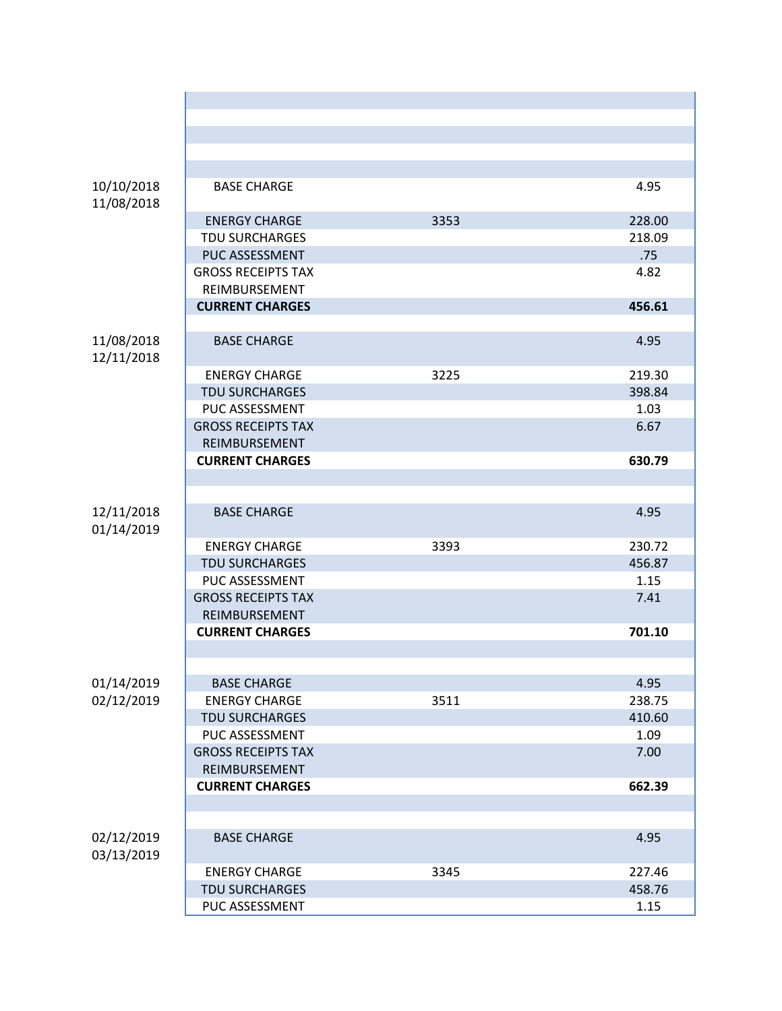| 10/10/2018<br>11/08/2018 | <b>BASE CHARGE</b>        |      | 4.95   |
|--------------------------|---------------------------|------|--------|
|                          | <b>ENERGY CHARGE</b>      | 3353 | 228.00 |
|                          | <b>TDU SURCHARGES</b>     |      | 218.09 |
|                          | <b>PUC ASSESSMENT</b>     |      | .75    |
|                          | <b>GROSS RECEIPTS TAX</b> |      | 4.82   |
|                          | REIMBURSEMENT             |      |        |
|                          | <b>CURRENT CHARGES</b>    |      | 456.61 |
|                          |                           |      |        |
| 11/08/2018<br>12/11/2018 | <b>BASE CHARGE</b>        |      | 4.95   |
|                          | <b>ENERGY CHARGE</b>      | 3225 | 219.30 |
|                          | <b>TDU SURCHARGES</b>     |      | 398.84 |
|                          | PUC ASSESSMENT            |      | 1.03   |
|                          | <b>GROSS RECEIPTS TAX</b> |      | 6.67   |
|                          | REIMBURSEMENT             |      |        |
|                          | <b>CURRENT CHARGES</b>    |      | 630.79 |
|                          |                           |      |        |
|                          |                           |      |        |
| 12/11/2018<br>01/14/2019 | <b>BASE CHARGE</b>        |      | 4.95   |
|                          | <b>ENERGY CHARGE</b>      | 3393 | 230.72 |
|                          | <b>TDU SURCHARGES</b>     |      | 456.87 |
|                          | PUC ASSESSMENT            |      | 1.15   |
|                          | <b>GROSS RECEIPTS TAX</b> |      | 7.41   |
|                          | REIMBURSEMENT             |      |        |
|                          | <b>CURRENT CHARGES</b>    |      | 701.10 |
|                          |                           |      |        |
|                          |                           |      |        |
| 01/14/2019               | <b>BASE CHARGE</b>        |      | 4.95   |
| 02/12/2019               | <b>ENERGY CHARGE</b>      | 3511 | 238.75 |
|                          | <b>TDU SURCHARGES</b>     |      | 410.60 |
|                          | PUC ASSESSMENT            |      | 1.09   |
|                          | <b>GROSS RECEIPTS TAX</b> |      | 7.00   |
|                          | REIMBURSEMENT             |      |        |
|                          | <b>CURRENT CHARGES</b>    |      | 662.39 |
|                          |                           |      |        |
|                          |                           |      |        |
| 02/12/2019<br>03/13/2019 | <b>BASE CHARGE</b>        |      | 4.95   |
|                          | <b>ENERGY CHARGE</b>      | 3345 | 227.46 |
|                          | <b>TDU SURCHARGES</b>     |      | 458.76 |
|                          | PUC ASSESSMENT            |      | 1.15   |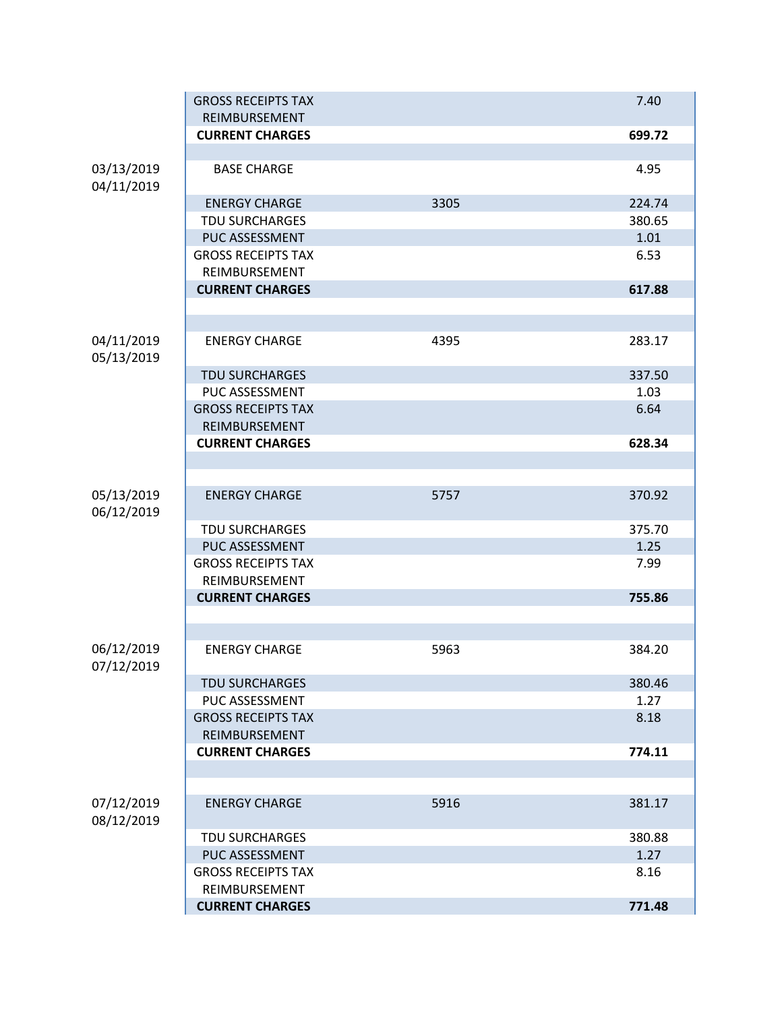|                          | <b>GROSS RECEIPTS TAX</b><br>REIMBURSEMENT |      | 7.40   |
|--------------------------|--------------------------------------------|------|--------|
|                          | <b>CURRENT CHARGES</b>                     |      | 699.72 |
|                          |                                            |      |        |
| 03/13/2019<br>04/11/2019 | <b>BASE CHARGE</b>                         |      | 4.95   |
|                          | <b>ENERGY CHARGE</b>                       | 3305 | 224.74 |
|                          | <b>TDU SURCHARGES</b>                      |      | 380.65 |
|                          | PUC ASSESSMENT                             |      | 1.01   |
|                          | <b>GROSS RECEIPTS TAX</b>                  |      | 6.53   |
|                          | REIMBURSEMENT                              |      |        |
|                          | <b>CURRENT CHARGES</b>                     |      | 617.88 |
|                          |                                            |      |        |
|                          |                                            |      |        |
| 04/11/2019<br>05/13/2019 | <b>ENERGY CHARGE</b>                       | 4395 | 283.17 |
|                          | <b>TDU SURCHARGES</b>                      |      | 337.50 |
|                          | PUC ASSESSMENT                             |      | 1.03   |
|                          | <b>GROSS RECEIPTS TAX</b>                  |      | 6.64   |
|                          | REIMBURSEMENT                              |      |        |
|                          | <b>CURRENT CHARGES</b>                     |      | 628.34 |
|                          |                                            |      |        |
| 05/13/2019               | <b>ENERGY CHARGE</b>                       | 5757 | 370.92 |
| 06/12/2019               |                                            |      |        |
|                          | <b>TDU SURCHARGES</b>                      |      | 375.70 |
|                          | PUC ASSESSMENT                             |      | 1.25   |
|                          | <b>GROSS RECEIPTS TAX</b>                  |      | 7.99   |
|                          | REIMBURSEMENT                              |      |        |
|                          | <b>CURRENT CHARGES</b>                     |      | 755.86 |
|                          |                                            |      |        |
| 06/12/2019               | <b>ENERGY CHARGE</b>                       | 5963 | 384.20 |
| 07/12/2019               |                                            |      |        |
|                          | <b>TDU SURCHARGES</b>                      |      | 380.46 |
|                          | PUC ASSESSMENT                             |      | 1.27   |
|                          | <b>GROSS RECEIPTS TAX</b>                  |      | 8.18   |
|                          | REIMBURSEMENT                              |      |        |
|                          | <b>CURRENT CHARGES</b>                     |      | 774.11 |
|                          |                                            |      |        |
| 07/12/2019               | <b>ENERGY CHARGE</b>                       | 5916 | 381.17 |
| 08/12/2019               |                                            |      |        |
|                          | <b>TDU SURCHARGES</b>                      |      | 380.88 |
|                          | PUC ASSESSMENT                             |      | 1.27   |
|                          | <b>GROSS RECEIPTS TAX</b>                  |      | 8.16   |
|                          | REIMBURSEMENT                              |      |        |
|                          | <b>CURRENT CHARGES</b>                     |      | 771.48 |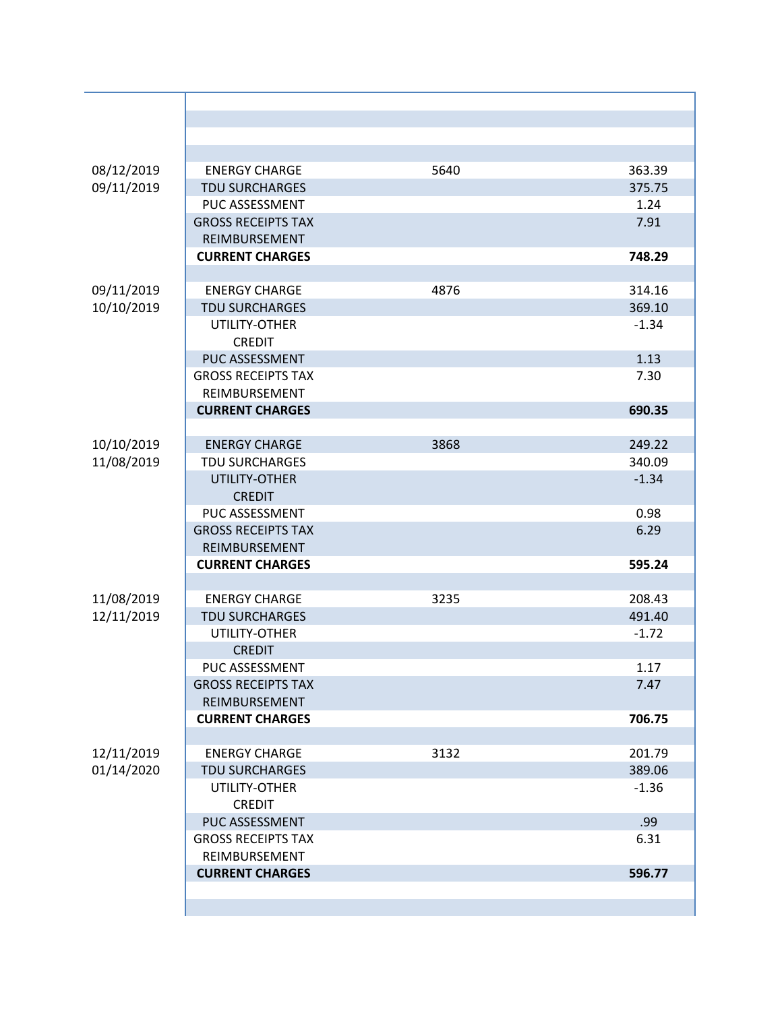| 08/12/2019 | <b>ENERGY CHARGE</b>      | 5640 | 363.39  |
|------------|---------------------------|------|---------|
| 09/11/2019 | <b>TDU SURCHARGES</b>     |      | 375.75  |
|            | PUC ASSESSMENT            |      | 1.24    |
|            | <b>GROSS RECEIPTS TAX</b> |      | 7.91    |
|            | REIMBURSEMENT             |      |         |
|            | <b>CURRENT CHARGES</b>    |      | 748.29  |
|            |                           |      |         |
| 09/11/2019 | <b>ENERGY CHARGE</b>      | 4876 | 314.16  |
| 10/10/2019 | <b>TDU SURCHARGES</b>     |      | 369.10  |
|            | UTILITY-OTHER             |      | $-1.34$ |
|            | <b>CREDIT</b>             |      |         |
|            | PUC ASSESSMENT            |      | 1.13    |
|            |                           |      |         |
|            | <b>GROSS RECEIPTS TAX</b> |      | 7.30    |
|            | REIMBURSEMENT             |      |         |
|            | <b>CURRENT CHARGES</b>    |      | 690.35  |
|            |                           |      |         |
| 10/10/2019 | <b>ENERGY CHARGE</b>      | 3868 | 249.22  |
| 11/08/2019 | <b>TDU SURCHARGES</b>     |      | 340.09  |
|            | UTILITY-OTHER             |      | $-1.34$ |
|            | <b>CREDIT</b>             |      |         |
|            | PUC ASSESSMENT            |      | 0.98    |
|            | <b>GROSS RECEIPTS TAX</b> |      | 6.29    |
|            | REIMBURSEMENT             |      |         |
|            | <b>CURRENT CHARGES</b>    |      | 595.24  |
|            |                           |      |         |
| 11/08/2019 | <b>ENERGY CHARGE</b>      | 3235 | 208.43  |
| 12/11/2019 | <b>TDU SURCHARGES</b>     |      | 491.40  |
|            | UTILITY-OTHER             |      | $-1.72$ |
|            | <b>CREDIT</b>             |      |         |
|            |                           |      |         |
|            | PUC ASSESSMENT            |      | 1.17    |
|            | <b>GROSS RECEIPTS TAX</b> |      | 7.47    |
|            | REIMBURSEMENT             |      |         |
|            | <b>CURRENT CHARGES</b>    |      | 706.75  |
|            |                           |      |         |
| 12/11/2019 | <b>ENERGY CHARGE</b>      | 3132 | 201.79  |
| 01/14/2020 | <b>TDU SURCHARGES</b>     |      | 389.06  |
|            | UTILITY-OTHER             |      | $-1.36$ |
|            | <b>CREDIT</b>             |      |         |
|            | PUC ASSESSMENT            |      | .99     |
|            | <b>GROSS RECEIPTS TAX</b> |      | 6.31    |
|            | REIMBURSEMENT             |      |         |
|            | <b>CURRENT CHARGES</b>    |      | 596.77  |
|            |                           |      |         |
|            |                           |      |         |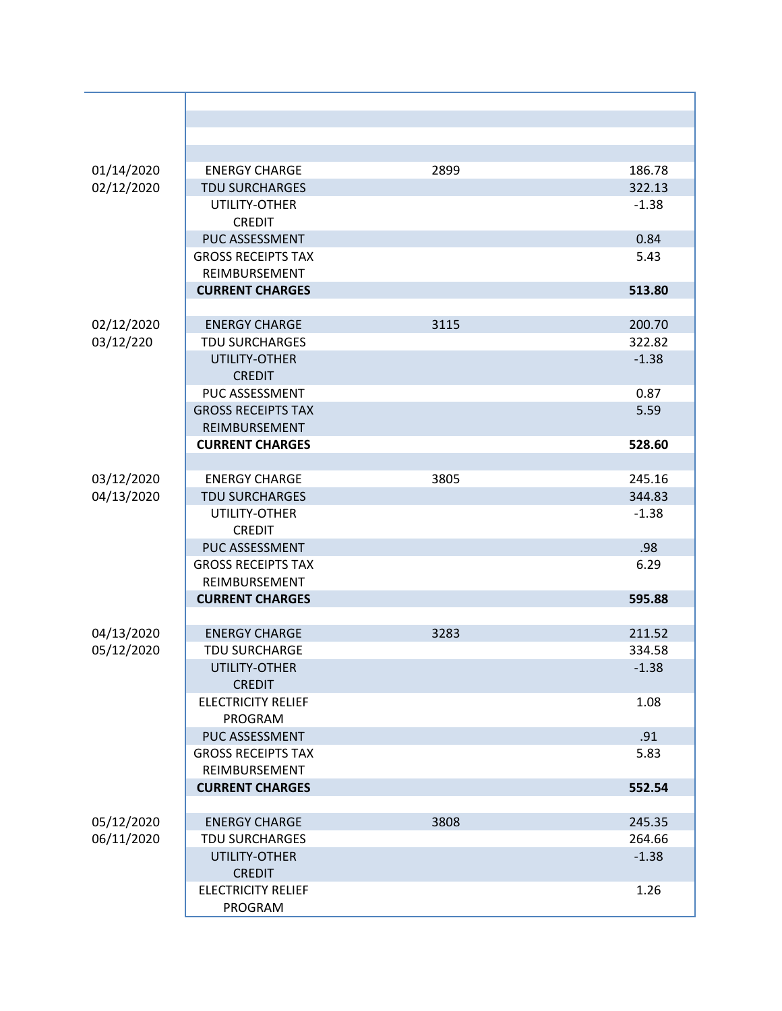| 01/14/2020 | <b>ENERGY CHARGE</b>      | 2899 | 186.78  |
|------------|---------------------------|------|---------|
| 02/12/2020 | <b>TDU SURCHARGES</b>     |      | 322.13  |
|            | UTILITY-OTHER             |      | $-1.38$ |
|            | <b>CREDIT</b>             |      |         |
|            | <b>PUC ASSESSMENT</b>     |      | 0.84    |
|            | <b>GROSS RECEIPTS TAX</b> |      | 5.43    |
|            | REIMBURSEMENT             |      |         |
|            | <b>CURRENT CHARGES</b>    |      | 513.80  |
|            |                           |      |         |
| 02/12/2020 | <b>ENERGY CHARGE</b>      | 3115 | 200.70  |
| 03/12/220  | <b>TDU SURCHARGES</b>     |      | 322.82  |
|            | UTILITY-OTHER             |      | $-1.38$ |
|            | <b>CREDIT</b>             |      |         |
|            | PUC ASSESSMENT            |      | 0.87    |
|            | <b>GROSS RECEIPTS TAX</b> |      | 5.59    |
|            | REIMBURSEMENT             |      |         |
|            | <b>CURRENT CHARGES</b>    |      | 528.60  |
|            |                           |      |         |
| 03/12/2020 | <b>ENERGY CHARGE</b>      | 3805 | 245.16  |
| 04/13/2020 | <b>TDU SURCHARGES</b>     |      | 344.83  |
|            | UTILITY-OTHER             |      | $-1.38$ |
|            | <b>CREDIT</b>             |      |         |
|            | PUC ASSESSMENT            |      | .98     |
|            | <b>GROSS RECEIPTS TAX</b> |      | 6.29    |
|            | REIMBURSEMENT             |      |         |
|            | <b>CURRENT CHARGES</b>    |      | 595.88  |
|            |                           |      |         |
| 04/13/2020 | <b>ENERGY CHARGE</b>      | 3283 | 211.52  |
| 05/12/2020 | <b>TDU SURCHARGE</b>      |      | 334.58  |
|            | UTILITY-OTHER             |      | $-1.38$ |
|            | <b>CREDIT</b>             |      |         |
|            | <b>ELECTRICITY RELIEF</b> |      | 1.08    |
|            | PROGRAM                   |      |         |
|            | PUC ASSESSMENT            |      | .91     |
|            | <b>GROSS RECEIPTS TAX</b> |      | 5.83    |
|            | REIMBURSEMENT             |      |         |
|            | <b>CURRENT CHARGES</b>    |      | 552.54  |
|            |                           |      |         |
| 05/12/2020 | <b>ENERGY CHARGE</b>      | 3808 | 245.35  |
| 06/11/2020 | <b>TDU SURCHARGES</b>     |      | 264.66  |
|            | UTILITY-OTHER             |      | $-1.38$ |
|            | <b>CREDIT</b>             |      |         |
|            | <b>ELECTRICITY RELIEF</b> |      | 1.26    |
|            | PROGRAM                   |      |         |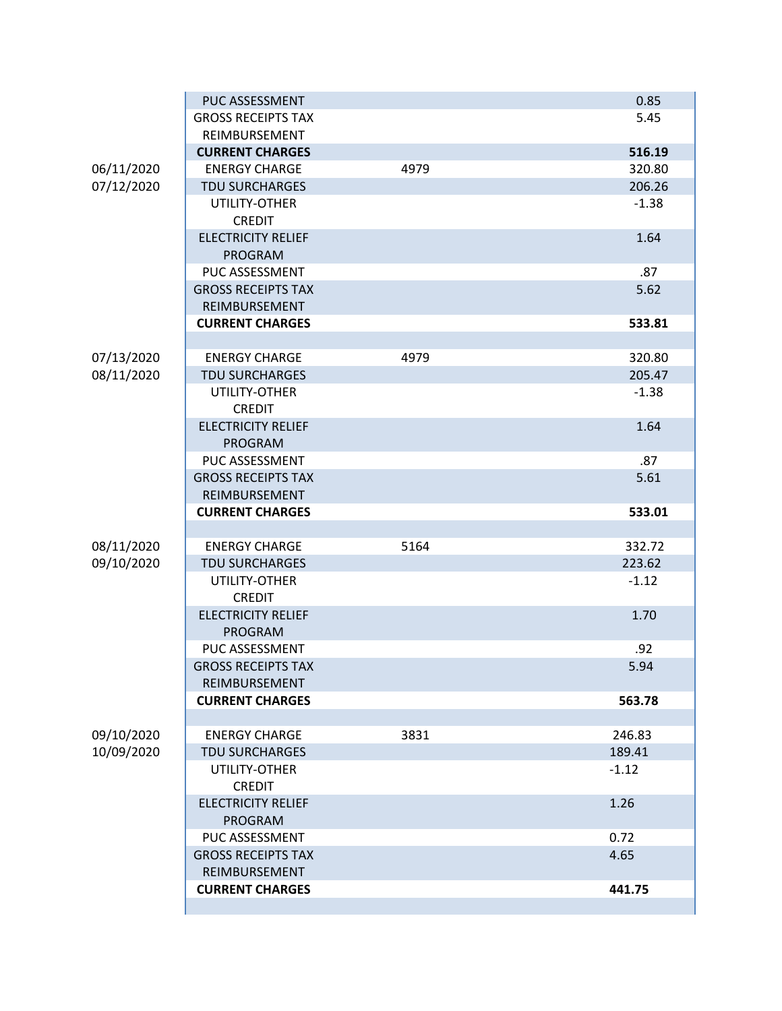|            | PUC ASSESSMENT            |      | 0.85    |
|------------|---------------------------|------|---------|
|            | <b>GROSS RECEIPTS TAX</b> |      | 5.45    |
|            | REIMBURSEMENT             |      |         |
|            | <b>CURRENT CHARGES</b>    |      | 516.19  |
| 06/11/2020 | <b>ENERGY CHARGE</b>      | 4979 | 320.80  |
| 07/12/2020 | <b>TDU SURCHARGES</b>     |      | 206.26  |
|            | UTILITY-OTHER             |      | $-1.38$ |
|            | <b>CREDIT</b>             |      |         |
|            | <b>ELECTRICITY RELIEF</b> |      | 1.64    |
|            | <b>PROGRAM</b>            |      |         |
|            | PUC ASSESSMENT            |      | .87     |
|            | <b>GROSS RECEIPTS TAX</b> |      | 5.62    |
|            | REIMBURSEMENT             |      |         |
|            | <b>CURRENT CHARGES</b>    |      | 533.81  |
|            |                           |      |         |
| 07/13/2020 | <b>ENERGY CHARGE</b>      | 4979 | 320.80  |
| 08/11/2020 | <b>TDU SURCHARGES</b>     |      | 205.47  |
|            | UTILITY-OTHER             |      | $-1.38$ |
|            | <b>CREDIT</b>             |      |         |
|            | <b>ELECTRICITY RELIEF</b> |      | 1.64    |
|            | <b>PROGRAM</b>            |      |         |
|            | PUC ASSESSMENT            |      | .87     |
|            | <b>GROSS RECEIPTS TAX</b> |      | 5.61    |
|            | REIMBURSEMENT             |      |         |
|            | <b>CURRENT CHARGES</b>    |      | 533.01  |
|            |                           |      |         |
| 08/11/2020 | <b>ENERGY CHARGE</b>      | 5164 | 332.72  |
| 09/10/2020 | <b>TDU SURCHARGES</b>     |      | 223.62  |
|            | UTILITY-OTHER             |      | $-1.12$ |
|            | <b>CREDIT</b>             |      |         |
|            | <b>ELECTRICITY RELIEF</b> |      | 1.70    |
|            | PROGRAM                   |      |         |
|            | PUC ASSESSMENT            |      | .92     |
|            | <b>GROSS RECEIPTS TAX</b> |      | 5.94    |
|            | REIMBURSEMENT             |      |         |
|            | <b>CURRENT CHARGES</b>    |      | 563.78  |
|            |                           |      |         |
| 09/10/2020 | <b>ENERGY CHARGE</b>      | 3831 | 246.83  |
| 10/09/2020 | <b>TDU SURCHARGES</b>     |      | 189.41  |
|            | UTILITY-OTHER             |      | $-1.12$ |
|            | <b>CREDIT</b>             |      |         |
|            | <b>ELECTRICITY RELIEF</b> |      | 1.26    |
|            | <b>PROGRAM</b>            |      |         |
|            | PUC ASSESSMENT            |      | 0.72    |
|            | <b>GROSS RECEIPTS TAX</b> |      | 4.65    |
|            | REIMBURSEMENT             |      |         |
|            | <b>CURRENT CHARGES</b>    |      | 441.75  |
|            |                           |      |         |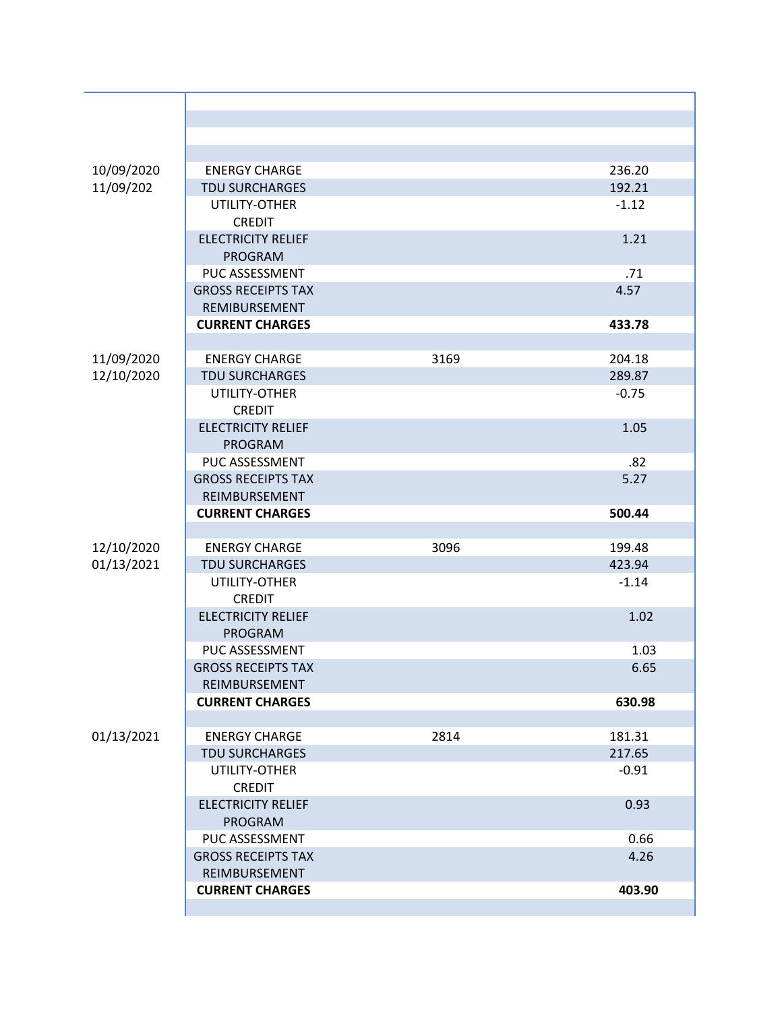| 10/09/2020 | <b>ENERGY CHARGE</b>      |      | 236.20  |
|------------|---------------------------|------|---------|
| 11/09/202  | <b>TDU SURCHARGES</b>     |      | 192.21  |
|            | UTILITY-OTHER             |      | $-1.12$ |
|            | <b>CREDIT</b>             |      |         |
|            | <b>ELECTRICITY RELIEF</b> |      | 1.21    |
|            | <b>PROGRAM</b>            |      |         |
|            | PUC ASSESSMENT            |      | .71     |
|            | <b>GROSS RECEIPTS TAX</b> |      | 4.57    |
|            | REMIBURSEMENT             |      |         |
|            | <b>CURRENT CHARGES</b>    |      | 433.78  |
|            |                           |      |         |
| 11/09/2020 | <b>ENERGY CHARGE</b>      | 3169 | 204.18  |
| 12/10/2020 | <b>TDU SURCHARGES</b>     |      | 289.87  |
|            | UTILITY-OTHER             |      | $-0.75$ |
|            | <b>CREDIT</b>             |      |         |
|            | <b>ELECTRICITY RELIEF</b> |      | 1.05    |
|            | PROGRAM                   |      |         |
|            | PUC ASSESSMENT            |      | .82     |
|            | <b>GROSS RECEIPTS TAX</b> |      | 5.27    |
|            | REIMBURSEMENT             |      |         |
|            | <b>CURRENT CHARGES</b>    |      | 500.44  |
|            |                           |      |         |
| 12/10/2020 | <b>ENERGY CHARGE</b>      | 3096 | 199.48  |
| 01/13/2021 | <b>TDU SURCHARGES</b>     |      | 423.94  |
|            | UTILITY-OTHER             |      | $-1.14$ |
|            | <b>CREDIT</b>             |      |         |
|            | <b>ELECTRICITY RELIEF</b> |      | 1.02    |
|            | <b>PROGRAM</b>            |      |         |
|            | <b>PUC ASSESSMENT</b>     |      | 1.03    |
|            | <b>GROSS RECEIPTS TAX</b> |      | 6.65    |
|            | REIMBURSEMENT             |      |         |
|            | <b>CURRENT CHARGES</b>    |      | 630.98  |
|            |                           |      |         |
| 01/13/2021 | <b>ENERGY CHARGE</b>      | 2814 | 181.31  |
|            | <b>TDU SURCHARGES</b>     |      | 217.65  |
|            | UTILITY-OTHER             |      | $-0.91$ |
|            | <b>CREDIT</b>             |      |         |
|            | <b>ELECTRICITY RELIEF</b> |      | 0.93    |
|            | <b>PROGRAM</b>            |      |         |
|            | PUC ASSESSMENT            |      | 0.66    |
|            | <b>GROSS RECEIPTS TAX</b> |      | 4.26    |
|            | REIMBURSEMENT             |      |         |
|            | <b>CURRENT CHARGES</b>    |      | 403.90  |
|            |                           |      |         |
|            |                           |      |         |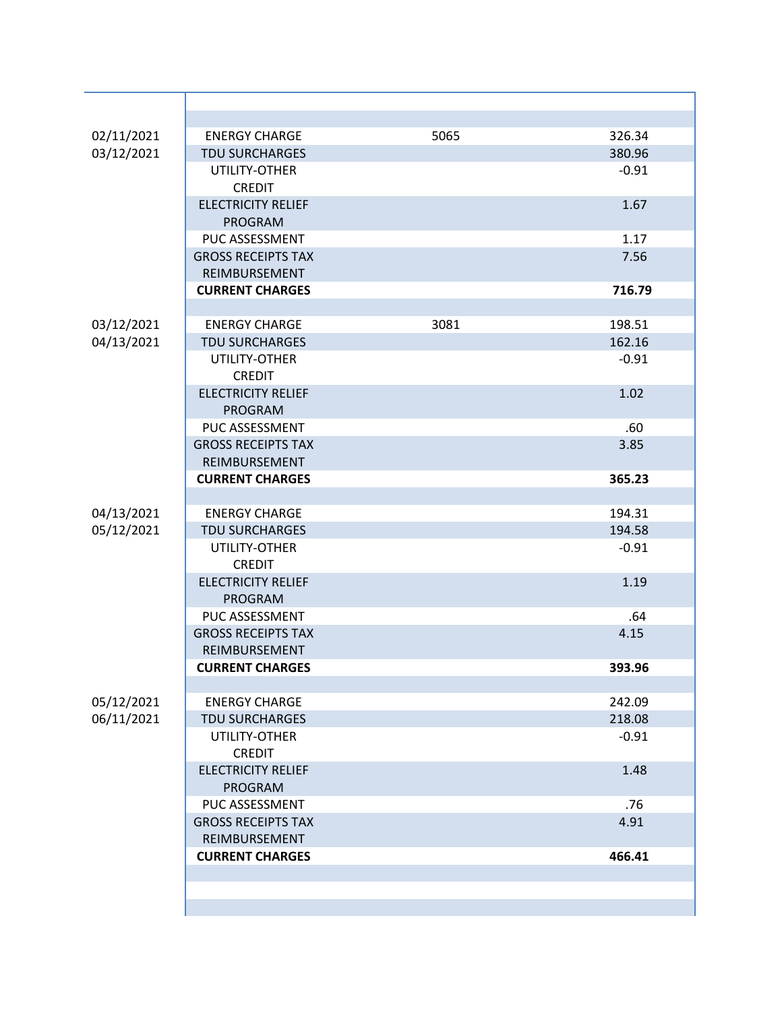| 02/11/2021 | <b>ENERGY CHARGE</b>      | 5065 | 326.34  |
|------------|---------------------------|------|---------|
| 03/12/2021 | <b>TDU SURCHARGES</b>     |      | 380.96  |
|            | UTILITY-OTHER             |      | $-0.91$ |
|            | <b>CREDIT</b>             |      |         |
|            | <b>ELECTRICITY RELIEF</b> |      | 1.67    |
|            | PROGRAM                   |      |         |
|            | PUC ASSESSMENT            |      | 1.17    |
|            | <b>GROSS RECEIPTS TAX</b> |      | 7.56    |
|            | REIMBURSEMENT             |      |         |
|            | <b>CURRENT CHARGES</b>    |      | 716.79  |
|            |                           |      |         |
| 03/12/2021 | <b>ENERGY CHARGE</b>      | 3081 | 198.51  |
| 04/13/2021 | <b>TDU SURCHARGES</b>     |      | 162.16  |
|            | UTILITY-OTHER             |      | $-0.91$ |
|            | <b>CREDIT</b>             |      |         |
|            | <b>ELECTRICITY RELIEF</b> |      | 1.02    |
|            | <b>PROGRAM</b>            |      |         |
|            | PUC ASSESSMENT            |      | .60     |
|            | <b>GROSS RECEIPTS TAX</b> |      | 3.85    |
|            | REIMBURSEMENT             |      |         |
|            | <b>CURRENT CHARGES</b>    |      | 365.23  |
|            |                           |      |         |
| 04/13/2021 | <b>ENERGY CHARGE</b>      |      | 194.31  |
| 05/12/2021 | <b>TDU SURCHARGES</b>     |      | 194.58  |
|            | UTILITY-OTHER             |      | $-0.91$ |
|            | <b>CREDIT</b>             |      |         |
|            | <b>ELECTRICITY RELIEF</b> |      | 1.19    |
|            | <b>PROGRAM</b>            |      |         |
|            | PUC ASSESSMENT            |      | .64     |
|            | <b>GROSS RECEIPTS TAX</b> |      | 4.15    |
|            | REIMBURSEMENT             |      |         |
|            | <b>CURRENT CHARGES</b>    |      | 393.96  |
|            |                           |      |         |
| 05/12/2021 | <b>ENERGY CHARGE</b>      |      | 242.09  |
| 06/11/2021 | <b>TDU SURCHARGES</b>     |      | 218.08  |
|            | UTILITY-OTHER             |      | $-0.91$ |
|            | <b>CREDIT</b>             |      |         |
|            | <b>ELECTRICITY RELIEF</b> |      | 1.48    |
|            | PROGRAM                   |      |         |
|            | PUC ASSESSMENT            |      | .76     |
|            | <b>GROSS RECEIPTS TAX</b> |      | 4.91    |
|            | REIMBURSEMENT             |      |         |
|            | <b>CURRENT CHARGES</b>    |      | 466.41  |
|            |                           |      |         |
|            |                           |      |         |
|            |                           |      |         |
|            |                           |      |         |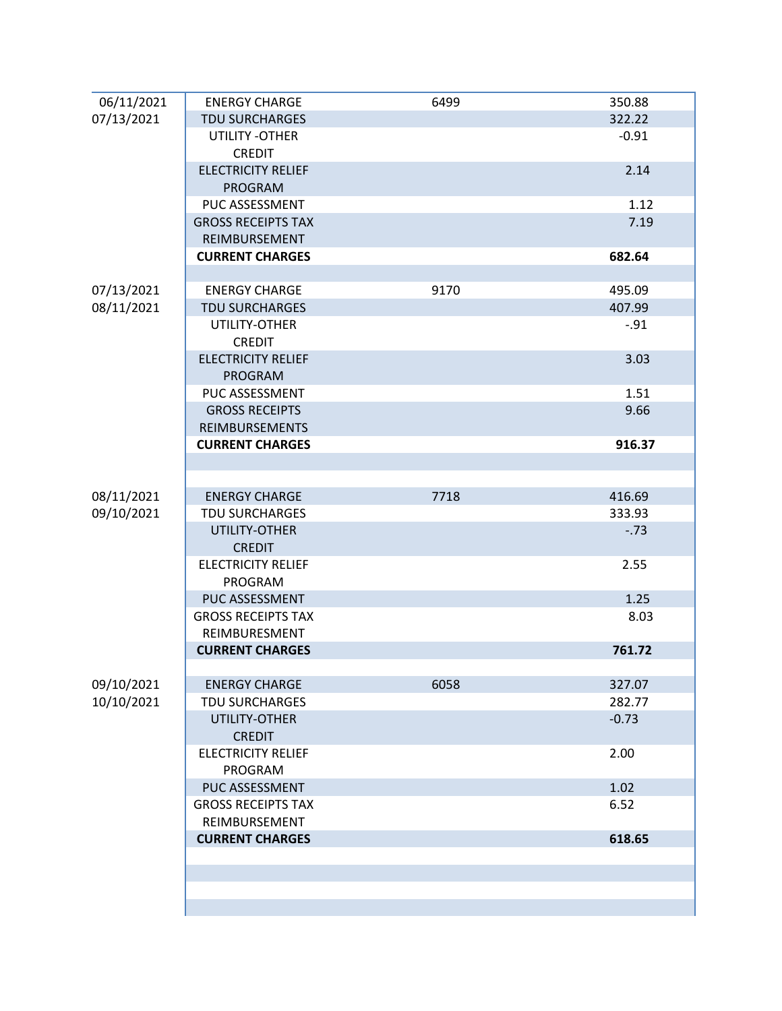| 06/11/2021 | <b>ENERGY CHARGE</b>      | 6499 | 350.88  |
|------------|---------------------------|------|---------|
| 07/13/2021 | <b>TDU SURCHARGES</b>     |      | 322.22  |
|            | UTILITY -OTHER            |      | $-0.91$ |
|            | <b>CREDIT</b>             |      |         |
|            | <b>ELECTRICITY RELIEF</b> |      | 2.14    |
|            | <b>PROGRAM</b>            |      |         |
|            | PUC ASSESSMENT            |      | 1.12    |
|            | <b>GROSS RECEIPTS TAX</b> |      | 7.19    |
|            | REIMBURSEMENT             |      |         |
|            | <b>CURRENT CHARGES</b>    |      | 682.64  |
|            |                           |      |         |
| 07/13/2021 | <b>ENERGY CHARGE</b>      | 9170 | 495.09  |
| 08/11/2021 | <b>TDU SURCHARGES</b>     |      | 407.99  |
|            | UTILITY-OTHER             |      | $-.91$  |
|            | <b>CREDIT</b>             |      |         |
|            | <b>ELECTRICITY RELIEF</b> |      | 3.03    |
|            | <b>PROGRAM</b>            |      |         |
|            | PUC ASSESSMENT            |      | 1.51    |
|            | <b>GROSS RECEIPTS</b>     |      | 9.66    |
|            | <b>REIMBURSEMENTS</b>     |      |         |
|            | <b>CURRENT CHARGES</b>    |      | 916.37  |
|            |                           |      |         |
|            |                           |      |         |
| 08/11/2021 | <b>ENERGY CHARGE</b>      | 7718 | 416.69  |
| 09/10/2021 | <b>TDU SURCHARGES</b>     |      | 333.93  |
|            | UTILITY-OTHER             |      | $-0.73$ |
|            | <b>CREDIT</b>             |      |         |
|            | <b>ELECTRICITY RELIEF</b> |      | 2.55    |
|            | PROGRAM                   |      |         |
|            | PUC ASSESSMENT            |      | 1.25    |
|            | <b>GROSS RECEIPTS TAX</b> |      | 8.03    |
|            | REIMBURESMENT             |      |         |
|            | <b>CURRENT CHARGES</b>    |      | 761.72  |
| 09/10/2021 | <b>ENERGY CHARGE</b>      | 6058 | 327.07  |
| 10/10/2021 | <b>TDU SURCHARGES</b>     |      | 282.77  |
|            | UTILITY-OTHER             |      | $-0.73$ |
|            | <b>CREDIT</b>             |      |         |
|            | <b>ELECTRICITY RELIEF</b> |      | 2.00    |
|            | PROGRAM                   |      |         |
|            | PUC ASSESSMENT            |      | 1.02    |
|            | <b>GROSS RECEIPTS TAX</b> |      | 6.52    |
|            | REIMBURSEMENT             |      |         |
|            | <b>CURRENT CHARGES</b>    |      | 618.65  |
|            |                           |      |         |
|            |                           |      |         |
|            |                           |      |         |
|            |                           |      |         |
|            |                           |      |         |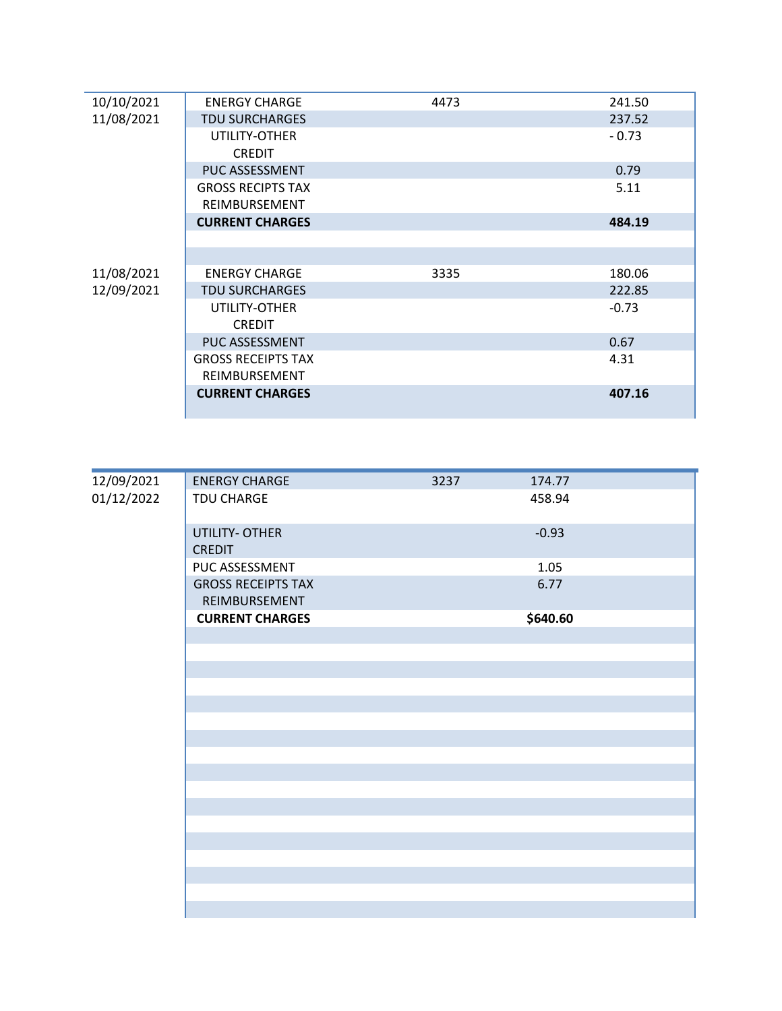| 10/10/2021 | <b>ENERGY CHARGE</b>      | 4473 | 241.50  |
|------------|---------------------------|------|---------|
| 11/08/2021 | <b>TDU SURCHARGES</b>     |      | 237.52  |
|            | UTILITY-OTHER             |      | $-0.73$ |
|            | <b>CREDIT</b>             |      |         |
|            | PUC ASSESSMENT            |      | 0.79    |
|            | <b>GROSS RECIPTS TAX</b>  |      | 5.11    |
|            | REIMBURSEMENT             |      |         |
|            | <b>CURRENT CHARGES</b>    |      | 484.19  |
|            |                           |      |         |
|            |                           |      |         |
| 11/08/2021 | <b>ENERGY CHARGE</b>      | 3335 | 180.06  |
| 12/09/2021 | <b>TDU SURCHARGES</b>     |      | 222.85  |
|            | UTILITY-OTHER             |      | $-0.73$ |
|            | <b>CREDIT</b>             |      |         |
|            | PUC ASSESSMENT            |      | 0.67    |
|            | <b>GROSS RECEIPTS TAX</b> |      | 4.31    |
|            | REIMBURSEMENT             |      |         |
|            | <b>CURRENT CHARGES</b>    |      | 407.16  |
|            |                           |      |         |

| 12/09/2021<br>01/12/2022 | <b>ENERGY CHARGE</b>                       | 3237 | 174.77   |
|--------------------------|--------------------------------------------|------|----------|
|                          | TDU CHARGE                                 |      | 458.94   |
|                          | UTILITY- OTHER<br><b>CREDIT</b>            |      | $-0.93$  |
|                          | PUC ASSESSMENT                             |      | 1.05     |
|                          | <b>GROSS RECEIPTS TAX</b><br>REIMBURSEMENT |      | 6.77     |
|                          | <b>CURRENT CHARGES</b>                     |      | \$640.60 |
|                          |                                            |      |          |
|                          |                                            |      |          |
|                          |                                            |      |          |
|                          |                                            |      |          |
|                          |                                            |      |          |
|                          |                                            |      |          |
|                          |                                            |      |          |
|                          |                                            |      |          |
|                          |                                            |      |          |
|                          |                                            |      |          |
|                          |                                            |      |          |
|                          |                                            |      |          |
|                          |                                            |      |          |
|                          |                                            |      |          |
|                          |                                            |      |          |